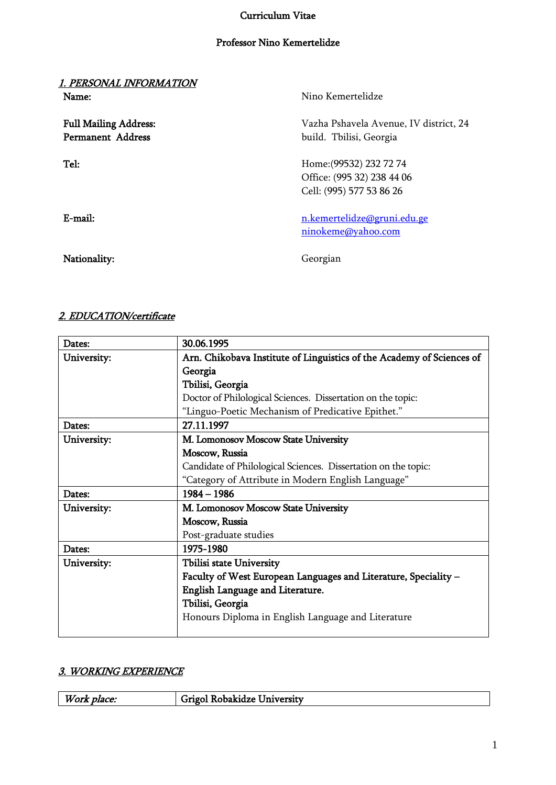# Curriculum Vitae

### Professor Nino Kemertelidze

| 1. PERS <u>ONAL INFORMATION</u><br>Name:                 | Nino Kemertelidze                                                                 |
|----------------------------------------------------------|-----------------------------------------------------------------------------------|
| <b>Full Mailing Address:</b><br><b>Permanent Address</b> | Vazha Pshavela Avenue, IV district, 24<br>build. Tbilisi, Georgia                 |
| Tel:                                                     | Home: (99532) 232 72 74<br>Office: (995 32) 238 44 06<br>Cell: (995) 577 53 86 26 |
| $E$ -mail:                                               | n.kemertelidze@gruni.edu.ge<br>ninokeme@yahoo.com                                 |
| Nationality:                                             | Georgian                                                                          |

# 2. EDUCATION/certificate

| Dates:      | 30.06.1995                                                            |
|-------------|-----------------------------------------------------------------------|
| University: | Arn. Chikobava Institute of Linguistics of the Academy of Sciences of |
|             | Georgia                                                               |
|             | Tbilisi, Georgia                                                      |
|             | Doctor of Philological Sciences. Dissertation on the topic:           |
|             | "Linguo-Poetic Mechanism of Predicative Epithet."                     |
| Dates:      | 27.11.1997                                                            |
| University: | M. Lomonosov Moscow State University                                  |
|             | Moscow, Russia                                                        |
|             | Candidate of Philological Sciences. Dissertation on the topic:        |
|             | "Category of Attribute in Modern English Language"                    |
| Dates:      | $1984 - 1986$                                                         |
|             |                                                                       |
| University: | M. Lomonosov Moscow State University                                  |
|             | Moscow, Russia                                                        |
|             | Post-graduate studies                                                 |
| Dates:      | 1975-1980                                                             |
| University: | Tbilisi state University                                              |
|             | Faculty of West European Languages and Literature, Speciality -       |
|             | English Language and Literature.                                      |
|             | Tbilisi, Georgia                                                      |
|             | Honours Diploma in English Language and Literature                    |

# 3. WORKING EXPERIENCE

| Work     | obakidze <u>L</u>        |
|----------|--------------------------|
| . place: | ' Iniversity             |
|          | <b><i>COMMERCIAL</i></b> |
|          |                          |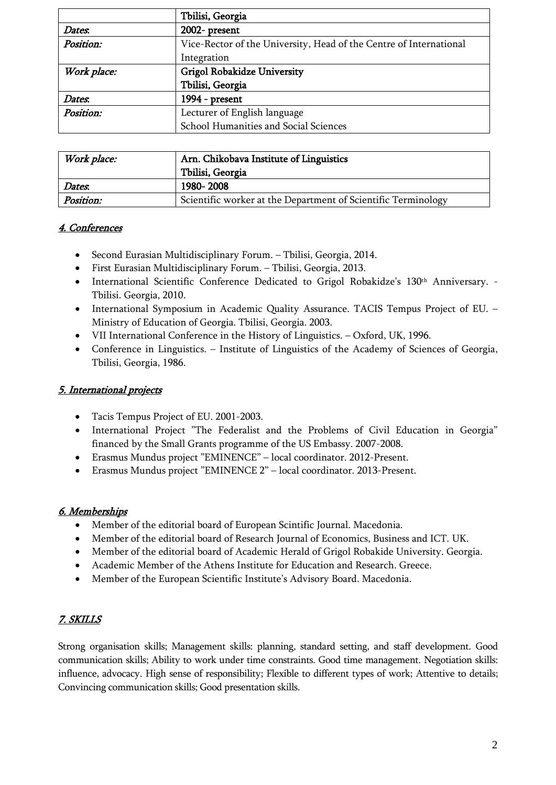|             | Tbilisi, Georgia                                                   |
|-------------|--------------------------------------------------------------------|
| Dates.      | 2002- present                                                      |
| Position:   | Vice-Rector of the University, Head of the Centre of International |
|             | Integration                                                        |
| Work place: | Grigol Robakidze University                                        |
|             | Tbilisi, Georgia                                                   |
| Dates.      | 1994 - present                                                     |
| Position:   | Lecturer of English language                                       |
|             | School Humanities and Social Sciences                              |

| Work place: | Arn. Chikobava Institute of Linguistics                       |  |
|-------------|---------------------------------------------------------------|--|
|             | Tbilisi, Georgia                                              |  |
| Dates.      | 1980-2008                                                     |  |
| Position:   | Scientific worker at the Department of Scientific Terminology |  |

# 4. Conferences

- Second Eurasian Multidisciplinary Forum. Tbilisi, Georgia, 2014.
- First Eurasian Multidisciplinary Forum. Tbilisi, Georgia, 2013.
- International Scientific Conference Dedicated to Grigol Robakidze's 130<sup>th</sup> Anniversary. -Tbilisi. Georgia, 2010.
- International Symposium in Academic Quality Assurance. TACIS Tempus Project of EU. Ministry of Education of Georgia. Tbilisi, Georgia. 2003.
- VII International Conference in the History of Linguistics. Oxford, UK, 1996.
- Conference in Linguistics. Institute of Linguistics of the Academy of Sciences of Georgia, Tbilisi, Georgia, 1986.

#### 5. International projects

- Tacis Tempus Project of EU. 2001-2003.
- International Project "The Federalist and the Problems of Civil Education in Georgia" financed by the Small Grants programme of the US Embassy. 2007-2008.
- Erasmus Mundus project "EMINENCE" local coordinator. 2012-Present.
- Erasmus Mundus project "EMINENCE 2" local coordinator. 2013-Present.

#### 6. Memberships

- Member of the editorial board of European Scintific Journal. Macedonia.
- Member of the editorial board of Research Journal of Economics, Business and ICT. UK.
- Member of the editorial board of Academic Herald of Grigol Robakide University. Georgia.
- Academic Member of the Athens Institute for Education and Research. Greece.
- Member of the European Scientific Institute's Advisory Board. Macedonia.

#### 7. SKILLS

Strong organisation skills; Management skills: planning, standard setting, and staff development. Good communication skills; Ability to work under time constraints. Good time management. Negotiation skills: influence, advocacy. High sense of responsibility; Flexible to different types of work; Attentive to details; Convincing communication skills; Good presentation skills.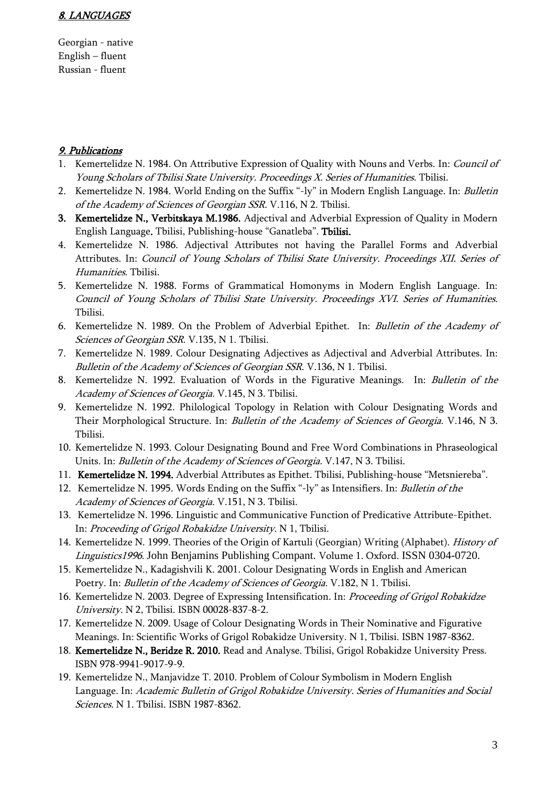#### 8. LANGUAGES

Georgian - native English – fluent Russian - fluent

#### 9. Publications

- 1. Kemertelidze N. 1984. On Attributive Expression of Quality with Nouns and Verbs. In: *Council of* Young Scholars of Tbilisi State University. Proceedings X. Series of Humanities. Tbilisi.
- 2. Kemertelidze N. 1984. World Ending on the Suffix "-ly" in Modern English Language. In: Bulletin of the Academy of Sciences of Georgian SSR. V.116, N 2. Tbilisi.
- 3. Kemertelidze N., Verbitskaya M.1986. Adjectival and Adverbial Expression of Quality in Modern English Language. Tbilisi, Publishing-house "Ganatleba". Tbilisi.
- 4. Kemertelidze N. 1986. Adjectival Attributes not having the Parallel Forms and Adverbial Attributes. In: Council of Young Scholars of Tbilisi State University. Proceedings XII. Series of Humanities. Tbilisi.
- 5. Kemertelidze N. 1988. Forms of Grammatical Homonyms in Modern English Language. In: Council of Young Scholars of Tbilisi State University. Proceedings XVI. Series of Humanities. Tbilisi.
- 6. Kemertelidze N. 1989. On the Problem of Adverbial Epithet. In: Bulletin of the Academy of Sciences of Georgian SSR. V.135, N 1. Tbilisi.
- 7. Kemertelidze N. 1989. Colour Designating Adjectives as Adjectival and Adverbial Attributes. In: Bulletin of the Academy of Sciences of Georgian SSR. V.136, N 1. Tbilisi.
- 8. Kemertelidze N. 1992. Evaluation of Words in the Figurative Meanings. In: Bulletin of the Academy of Sciences of Georgia. V.145, N 3. Tbilisi.
- 9. Kemertelidze N. 1992. Philological Topology in Relation with Colour Designating Words and Their Morphological Structure. In: *Bulletin of the Academy of Sciences of Georgia*. V.146, N 3. Tbilisi.
- 10. Kemertelidze N. 1993. Colour Designating Bound and Free Word Combinations in Phraseological Units. In: *Bulletin of the Academy of Sciences of Georgia*. V.147, N 3. Tbilisi.
- 11. Kemertelidze N. 1994. Adverbial Attributes as Epithet. Tbilisi, Publishing-house "Metsniereba".
- 12. Kemertelidze N. 1995. Words Ending on the Suffix "-ly" as Intensifiers. In: Bulletin of the Academy of Sciences of Georgia. V.151, N 3. Tbilisi.
- 13. Kemertelidze N. 1996. Linguistic and Communicative Function of Predicative Attribute-Epithet. In: Proceeding of Grigol Robakidze University. N 1, Tbilisi.
- 14. Kemertelidze N. 1999. Theories of the Origin of Kartuli (Georgian) Writing (Alphabet). *History of* Linguistics1996. John Benjamins Publishing Compant. Volume 1. Oxford. ISSN 0304-0720.
- 15. Kemertelidze N., Kadagishvili K. 2001. Colour Designating Words in English and American Poetry. In: Bulletin of the Academy of Sciences of Georgia. V.182, N 1. Tbilisi.
- 16. Kemertelidze N. 2003. Degree of Expressing Intensification. In: Proceeding of Grigol Robakidze University. N 2, Tbilisi. ISBN 00028-837-8-2.
- 17. Kemertelidze N. 2009. Usage of Colour Designating Words in Their Nominative and Figurative Meanings. In: Scientific Works of Grigol Robakidze University. N 1, Tbilisi. ISBN 1987-8362.
- 18. Kemertelidze N., Beridze R. 2010. Read and Analyse. Tbilisi, Grigol Robakidze University Press. ISBN 978-9941-9017-9-9.
- 19. Kemertelidze N., Manjavidze T. 2010. Problem of Colour Symbolism in Modern English Language. In: Academic Bulletin of Grigol Robakidze University. Series of Humanities and Social Sciences. N 1. Tbilisi. ISBN 1987-8362.